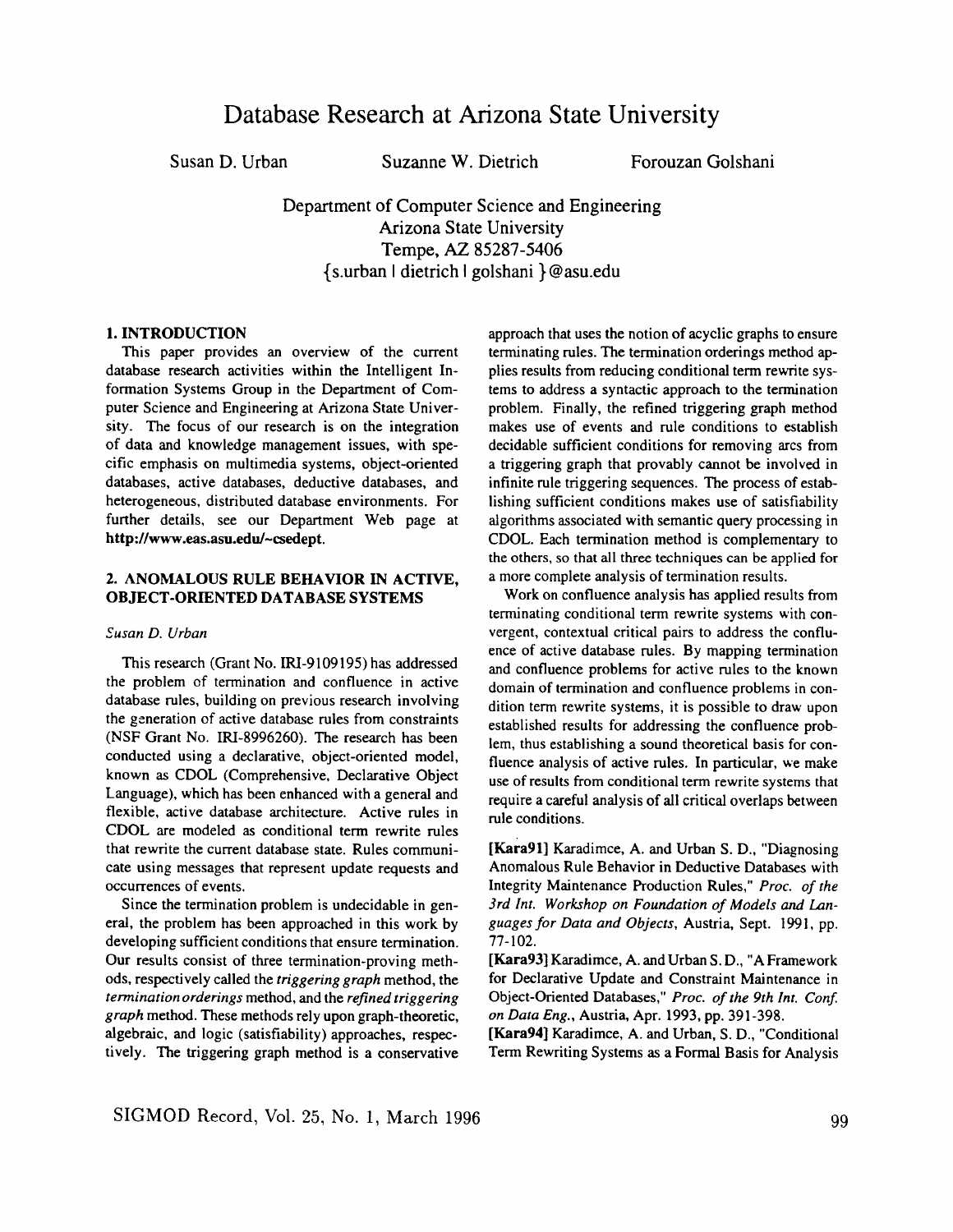# **Database Research at Arizona State University**

Susan D. Urban Suzanne W. Dietrich Forouzan Golshani

Department of Computer Science and Engineering Arizona State University Tempe, AZ 85287-5406 {s.urban I dietrich I golshani }@asu.edu

## 1. INTRODUCTION

This paper provides an overview of the current database research activities within the Intelligent Information Systems Group in the Department of Computer Science and Engineering at Arizona State University. The focus of our research is on the integration of data and knowledge management issues, with specific emphasis on multimedia systems, object-oriented databases, active databases, deductive databases, and heterogeneous, distributed database environments. For further details, see our Department Web page at **http://www.eas.asu.edu/~csedept.** 

## 2. ANOMALOUS RULE BEHAVIOR IN ACTIVE, **OBJECT-ORIENTED DATABASE SYSTEMS**

#### *Susan D. Urban*

This research (Grant No. IRI-9109195) has addressed the problem of termination and confluence in active database rules, building on previous research involving the generation of active database rules from constraints (NSF Grant No. IRI-8996260). The research has been conducted using a declarative, object-oriented model, known as CDOL (Comprehensive, Declarative Object Language), which has been enhanced with a general and flexible, active database architecture. Active rules in CDOL are modeled as conditional term rewrite rules that rewrite the current database state. Rules communicate using messages that represent update requests and occurrences of events.

Since the termination problem is undecidable in general, the problem has been approached in this work by developing sufficient conditions that ensure termination. Our results consist of three termination-proving methods, respectively called the *triggering graph* method, the *termination orderings* method, and the *refined triggering graph* method. These methods rely upon graph-theoretic, algebraic, and logic (satisfiability) approaches, respectively. The triggering graph method is a conservative

approach that uses the notion of acyclic graphs to ensure terminating rules. The termination orderings method applies results from reducing conditional term rewrite systems to address a syntactic approach to the termination problem. Finally, the refined triggering graph method makes use of events and rule conditions to establish decidable sufficient conditions for removing arcs from a triggering graph that provably cannot be involved in infinite rule triggering sequences. The process of establishing sufficient conditions makes use of satisfiability algorithms associated with semantic query processing in CDOL. Each termination method is complementary to the others, so that all three techniques can be applied for a more complete analysis of termination results.

Work on confluence analysis has applied results from terminating conditional term rewrite systems with convergent, contextual critical pairs to address the confluence of active database rules. By mapping termination and confluence problems for active rules to the known domain of termination and confluence problems in condition term rewrite systems, it is possible to draw upon established results for addressing the confluence problem, thus establishing a sound theoretical basis for confluence analysis of active rules. In particular, we make use of results from conditional term rewrite systems that require a careful analysis of all critical overlaps between rule conditions.

[Kara91] Karadimce, A. and Urban S. D., "Diagnosing Anomalous Rule Behavior in Deductive Databases with Integrity Maintenance Production Rules," *Proc. of the 3rd Int. Workshop on Foundation of Models and Languages for Data and Objects,* Austria, Sept. 1991, pp. 77-102.

[Kara93] Karadimce, A. and Urban S. D., "A Framework for Declarative Update and Constraint Maintenance in Object-Oriented Databases," *Proc. of the 9th Int. Conf. on Data Eng.,* Austria, Apr. 1993, pp. 391-398.

[Kara94] Karadimce, A. and Urban, S. D., "Conditional Term Rewriting Systems as a Formal Basis for Analysis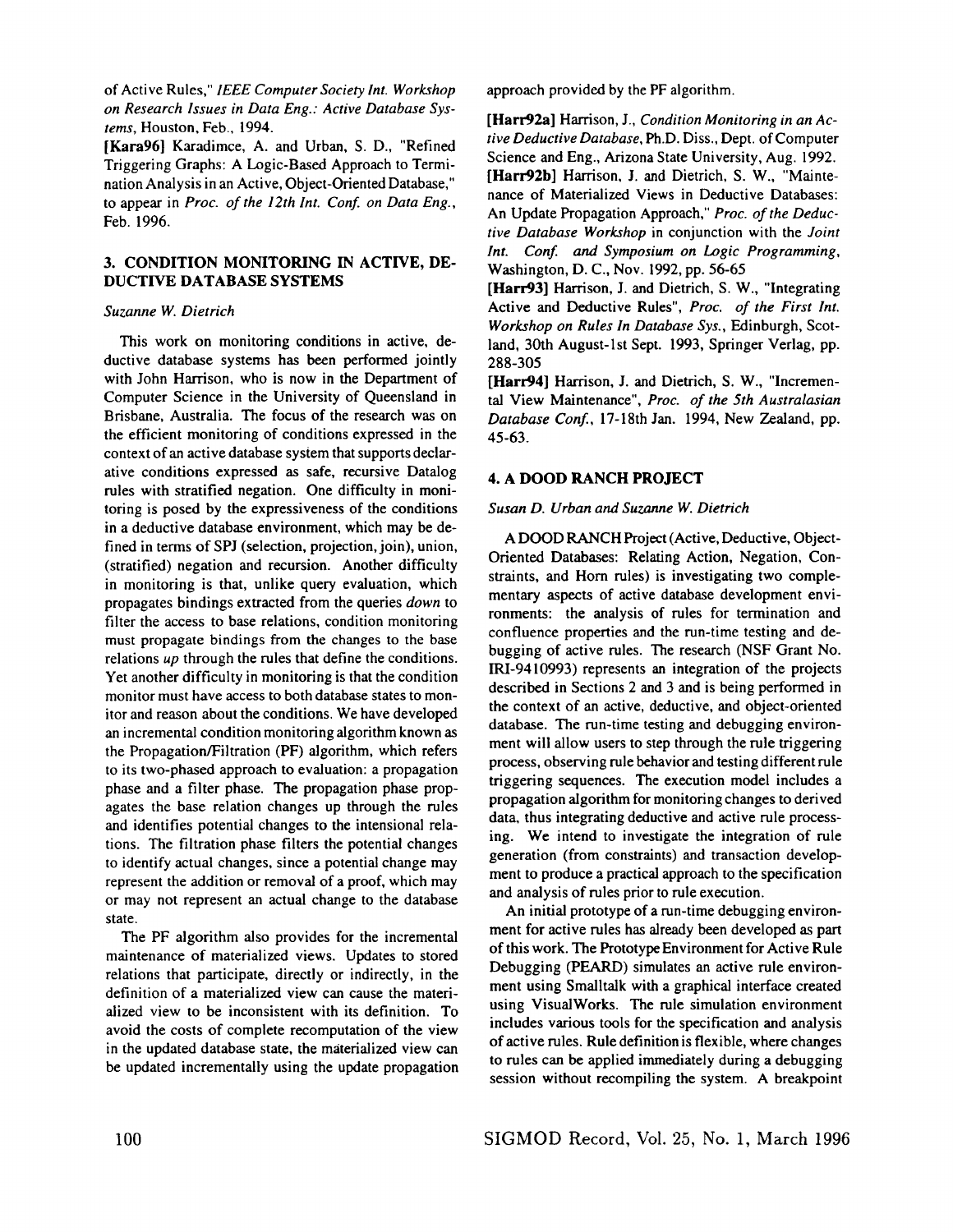of Active Rules," *IEEE Computer Society Int. Workshop on Research Issues in Data Eng.: Active Database Systems,* Houston, Feb., 1994.

[Kara96] Karadimce, A. and Urban, S. D., "Refined Triggering Graphs: A Logic-Based Approach to Termination Analysis in an Active, Object-Oriented Database," to appear in *Proc. of the 12th Int. Conf. on Data Eng.,*  Feb. 1996.

## 3. CONDITION MONITORING IN ACTIVE, DE-DUCTIVE **DATABASE SYSTEMS**

## *Suzanne W. Dietrich*

This work on monitoring conditions in active, deductive database systems has been performed jointly with John Harrison, who is now in the Department of Computer Science in the University of Queensland in Brisbane, Australia. The focus of the research was on the efficient monitoring of conditions expressed in the context of an active database system that supports declarative conditions expressed as safe, recursive Datalog rules with stratified negation. One difficulty in monitoring is posed by the expressiveness of the conditions in a deductive database environment, which may be defined in terms of SPJ (selection, projection, join), union, (stratified) negation and recursion. Another difficulty in monitoring is that, unlike query evaluation, which propagates bindings extracted from the queries *down* to filter the access to base relations, condition monitoring must propagate bindings from the changes to the base relations *up* through the rules that define the conditions. Yet another difficulty in monitoring is that the condition monitor must have access to both database states to monitor and reason about the conditions. We have developed an incremental condition monitoring algorithm known as the Propagation/Filtration (PF) algorithm, which refers to its two-phased approach to evaluation: a propagation phase and a filter phase. The propagation phase propagates the base relation changes up through the rules and identifies potential changes to the intensional relations. The filtration phase filters the potential changes to identify actual changes, since a potential change may represent the addition or removal of a proof, which may or may not represent an actual change to the database state.

The PF algorithm also provides for the incremental maintenance of materialized views. Updates to stored relations that participate, directly or indirectly, in the definition of a materialized view can cause the materialized view to be inconsistent with its definition. To avoid the costs of complete recomputation of the view in the updated database state, the materialized view can be updated incrementally using the update propagation approach provided by the PF algorithm.

[Harr92a] Harrison, J., *Condition Monitoring in an Active Deductive Database,* Ph.D. Diss., Dept. of Computer Science and Eng., Arizona State University, Aug. 1992. [Harr92b] Harrison, J. and Dietrich, S. W., "Maintenance of Materialized Views in Deductive Databases: An Update Propagation Approach," *Proc. of the Deductive Database Workshop* in conjunction with the *Joint Int. Conf. and Symposium on Logic Programming,*  Washington, D. C., Nov. 1992, pp. 56-65

[Harr93] Harrison, J. and Dietrich, S. W., "Integrating Active and Deductive Rules", *Proc. of the First Int. Workshop on Rules In Database Sys.,* Edinburgh, Scotland, 30th August-lst Sept. 1993, Springer Verlag, pp. 288-305

[Harr94] Harrison, J. and Dietrich, S. W., "Incremental View Maintenance", *Proc. of the 5th Australasian Database Conf.,* 17-18th Jan. 1994, New Zealand, pp. 45-63.

## 4. A DOOD RANCH PROJECT

### *Susan D. Urban and Suzanne W. Dietrich*

A DOOD RANCH Project (Active, Deductive, Object-Oriented Databases: Relating Action, Negation, Constraints, and Horn rules) is investigating two complementary aspects of active database development environments: the analysis of rules for termination and confluence properties and the run-time testing and debugging of active rules. The research (NSF Grant No. IRI-9410993) represents an integration of the projects described in Sections 2 and 3 and is being performed in the context of an active, deductive, and object-oriented database. The run-time testing and debugging environment will allow users to step through the rule triggering process, observing rule behavior and testing different rule triggering sequences. The execution model includes a propagation algorithm for monitoring changes to derived data, thus integrating deductive and active rule processing. We intend to investigate the integration of rule generation (from constraints) and transaction development to produce a practical approach to the specification and analysis of rules prior to rule execution.

An initial prototype of a run-time debugging environment for active rules has already been developed as part of this work. The Prototype Environment for Active Rule Debugging (PEARD) simulates an active rule environment using Smalltalk with a graphical interface created using VisualWorks. The rule simulation environment includes various tools for the specification and analysis of active rules. Rule definition is flexible, where changes to rules can be applied immediately during a debugging session without recompiling the system. A breakpoint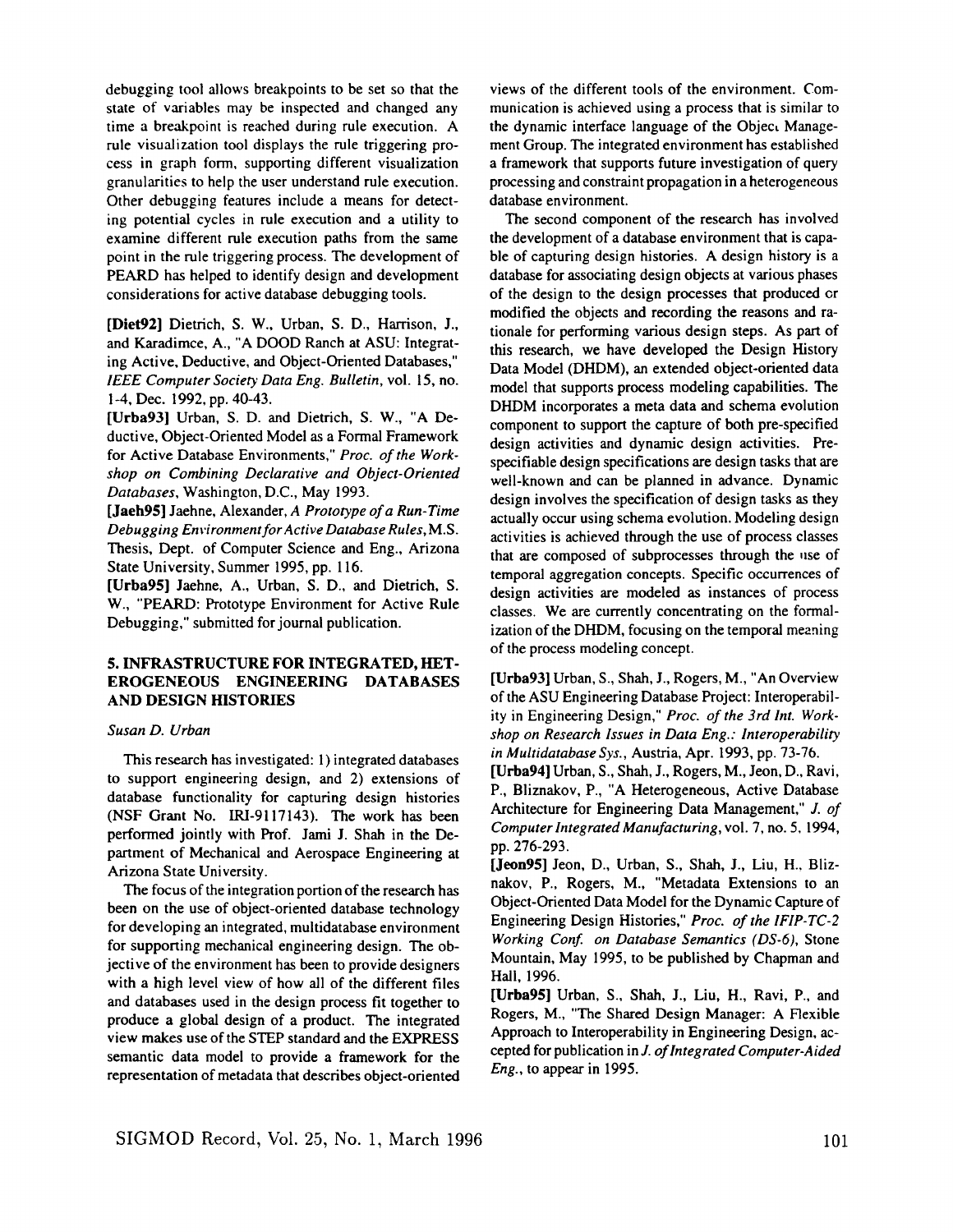debugging tool allows breakpoints to be set so that the state of variables may be inspected and changed any time a breakpoint is reached during rule execution. A rule visualization tool displays the rule triggering process in graph form, supporting different visualization granularities to help the user understand rule execution. Other debugging features include a means for detecting potential cycles in rule execution and a utility to examine different rule execution paths from the same point in the rule triggering process. The development of PEARD has helped to identify design and development considerations for active database debugging tools.

[Diet92] Dietrich, S. W., Urban, S. D., Harrison, J., and Karadimce, A., "A DOOD Ranch at ASU: Integrating Active, Deductive, and Object-Oriented Databases," *IEEE Computer Society Data Eng. Bulletin,* vol. 15, no. 1-4, Dec. 1992, pp. 40-43.

[Urba93] Urban, S. D. and Dietrich, S. W., "A Deductive, Object-Oriented Model as a Formal Framework for Active Database Environments," *Proc. of the Workshop on Combining Declarative and Object-Oriented Databases,* Washington, D.C., May 1993.

[Jaeh95] Jaehne, Alexander, *A Prototype of a Run-Time Debugging Environment for Active Database Rules,* M.S. Thesis, Dept. of Computer Science and Eng., Arizona State University, Summer 1995, pp. 116.

[Urba95] Jaehne, A., Urban, S. D., and Dietrich, S. W., "PEARD: Prototype Environment for Active Rule Debugging," submitted for journal publication.

# 5. INFRASTRUCTURE FOR INTEGRATED, HET-EROGENEOUS ENGINEERING DATABASES AND DESIGN HISTORIES

#### *Susan D. Urban*

This research has investigated: 1) integrated databases to support engineering design, and 2) extensions of database functionality for capturing design histories (NSF Grant No. IRI-9117143). The work has been performed jointly with Prof. Jami J. Shah in the Department of Mechanical and Aerospace Engineering at Arizona State University.

The focus of the integration portion of the research has been on the use of object-oriented database technology for developing an integrated, muitidatabase environment for supporting mechanical engineering design. The objective of the environment has been to provide designers with a high level view of how all of the different files and databases used in the design process fit together to produce a global design of a product. The integrated view makes use of the STEP standard and the EXPRESS semantic data model to provide a framework for the representation of metadata that describes object-oriented views of the different tools of the environment. Communication is achieved using a process that is similar to the dynamic interface language of the Object Management Group. The integrated environment has established a framework that supports future investigation of query processing and constraint propagation in a heterogeneous database environment.

The second component of the research has involved the development of a database environment that is capable of capturing design histories. A design history is a database for associating design objects at various phases of the design to the design processes that produced or modified the objects and recording the reasons and rationale for performing various design steps. As part of this research, we have developed the Design History Data Model (DHDM), an extended object-oriented data model that supports process modeling capabilities. The DHDM incorporates a meta data and schema evolution component to support the capture of both pre-specified design activities and dynamic design activities. Prespecifiable design specifications are design tasks that are well-known and can be planned in advance. Dynamic design involves the specification of design tasks as they actually occur using schema evolution. Modeling design activities is achieved through the use of process classes that are composed of subprocesses through the use of temporal aggregation concepts. Specific occurrences of design activities are modeled as instances of process classes. We are currently concentrating on the formalization of the DHDM, focusing on the temporal meaning of the process modeling concept.

[Urba93] Urban, S., Shah, J., Rogers, M., "An Overview of the ASU Engineering Database Project: Interoperability in Engineering Design," *Proc. of the 3rd Int. Workshop on Research Issues in Data Eng.: Interoperability in Muhidatabase Sys.,* Austria, Apr. 1993, pp. 73-76.

[Urba94] Urban, S., Shah, J., Rogers, M., Jeon, D., Ravi, P., Bliznakov, P., "A Heterogeneous, Active Database Architecture for Engineering Data Management," J. *of Computer Integrated Manufacturing,* vol. 7, no. 5, 1994, pp. 276-293.

[Jeon95] Jeon, D., Urban, S., Shah, J., Liu, H., Bliznakov, P., Rogers, M., "Metadata Extensions to an Object-Oriented Data Model for the Dynamic Capture of Engineering Design Histories," *Proc. of the IFIP-TC-2 Working Conf. on Database Semantics (DS-6),* Stone Mountain, May 1995, to be published by Chapman and Hall, 1996.

[Urba95] Urban, S., Shah, J., Liu, H., Ravi, P., and Rogers, M., "The Shared Design Manager: A Flexible Approach to Interoperability in Engineering Design, accepted for publication in J. *of Integrated Computer-Aided Eng.,* to appear in 1995.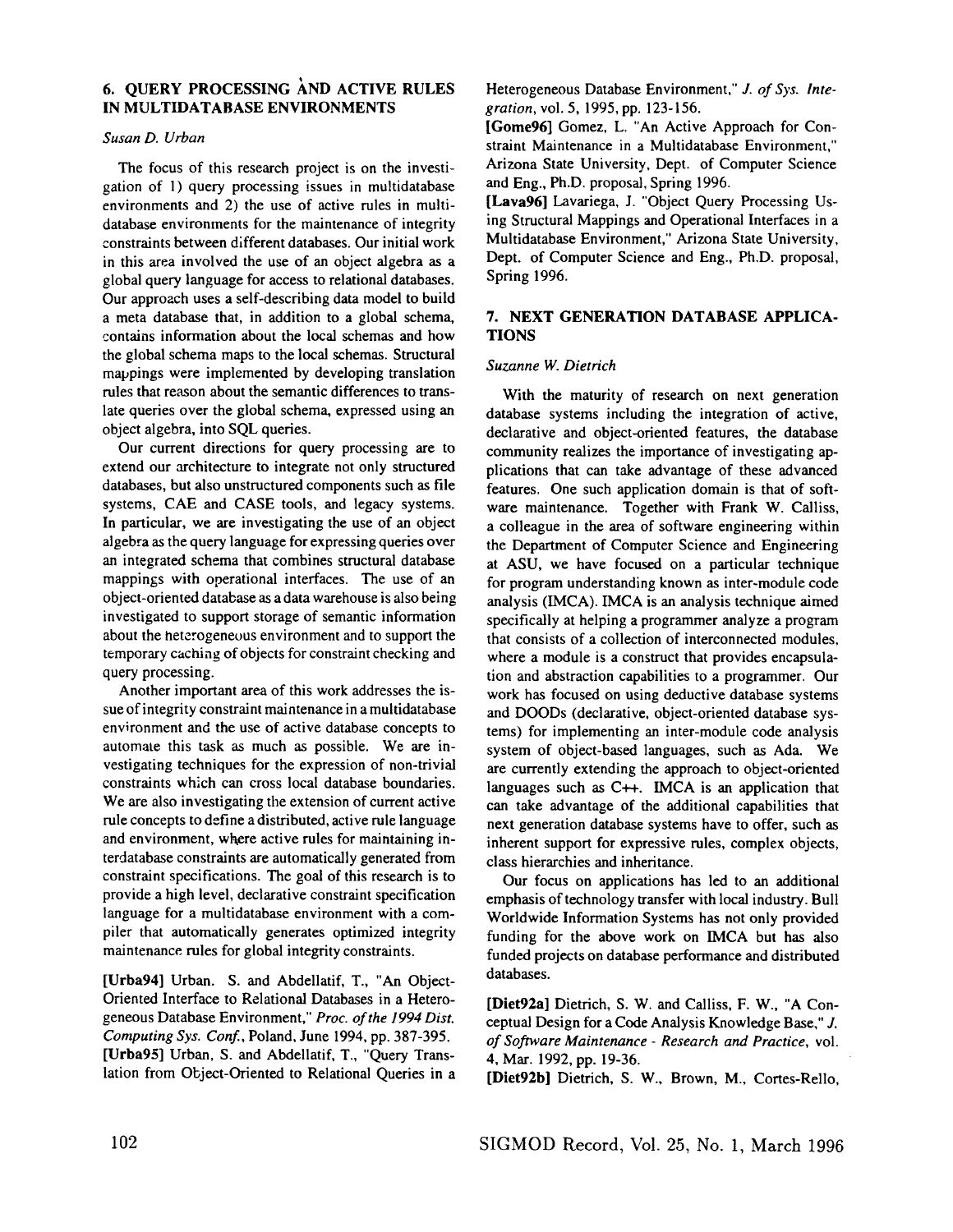# 6. OUERY PROCESSING AND ACTIVE RULES IN MULTIDATABASE ENVIRONMENTS

## *Susan D. Urban*

The focus of this research project is on the investigation of 1) query processing issues in multidatabase environments and 2) the use of active rules in multidatabase environments for the maintenance of integrity constraints between different databases. Our initial work in this area involved the use of an object algebra as a global query language for access to relational databases. Our approach uses a self-describing data model to build a meta database that, in addition to a global schema, contains information about the local schemas and how the global schema maps to the local schemas. Structural mappings were implemented by developing translation rules that reason about the semantic differences to translate queries over the global schema, expressed using an object algebra, into SQL queries.

Our current directions for query processing are to extend our architecture to integrate not only structured databases, but also unstructured components such as file systems, CAE and CASE tools, and legacy systems. In particular, we are investigating the use of an object algebra as the query language for expressing queries over an integrated schema that combines structural database mappings with operational interfaces. The use of an object-oriented database as a data warehouse is also being investigated to support storage of semantic information about the heterogeneous environment and to support the temporary caching of objects for constraint checking and query processing.

Another important area of this work addresses the issue of integrity constraint maintenance in a multidatabase environment and the use of active database concepts to automate this task as much as possible. We are investigating techniques for the expression of non-trivial constraints which can cross local database boundaries. We are also investigating the extension of current active rule concepts to define a distributed, active rule language and environment, wkere active rules for maintaining interdatabase constraints are automatically generated from constraint specifications. The goal of this research is to provide a high level, declarative constraint specification language for a multidatabase environment with a compiler that automatically generates optimized integrity maintenance rules for global integrity constraints.

[Urba94] Urban. S. and Abdellatif, T., "An Object-Oriented Interface to Relational Databases in a Heterogeneous Database Environment," *Proc. of the 1994 Dist. Computing Sys. Conf.,* Poland, June 1994, pp. 387-395. [Urba95] Urban, S. and Abdellatif, T., "Query Translation from Object-Oriented to Relational Queries in a

Heterogeneous Database Environment," J. *of Sys. Integration,* vol. 5, 1995, pp. 123-156.

[Gome96] Gomez, L. "An Active Approach for Constraint Maintenance in a Multidatabase Environment," Arizona State University, Dept. of Computer Science and Eng., Ph.D. proposal, Spring 1996.

[Lava96] Lavariega, J. "Object Query Processing Using Structural Mappings and Operational Interfaces in a Multidatabase Environment," Arizona State University, Dept. of Computer Science and Eng., Ph.D. proposal, Spring 1996.

# 7. NEXT GENERATION DATABASE APPLICA-**TIONS**

## *Suzanne W. Dietrich*

With the maturity of research on next generation database systems including the integration of active, declarative and object-oriented features, the database community realizes the importance of investigating applications that can take advantage of these advanced features. One such application domain is that of software maintenance. Together with Frank W. Calliss, a colleague in the area of software engineering within the Department of Computer Science and Engineering at ASU, we have focused on a particular technique for program understanding known as inter-module code analysis (IMCA). IMCA is an analysis technique aimed specifically at helping a programmer analyze a program that consists of a collection of interconnected modules, where a module is a construct that provides encapsulation and abstraction capabilities to a programmer. Our work has focused on using deductive database systems and DOODs (declarative, object-oriented database systems) for implementing an inter-module code analysis system of object-based languages, such as Ada. We are currently extending the approach to object-oriented languages such as C++. IMCA is an application that can take advantage of the additional capabilities that next generation database systems have to offer, such as inherent support for expressive rules, complex objects, class hierarchies and inheritance.

Our focus on applications has led to an additional emphasis of technology transfer with local industry. Bull Worldwide Information Systems has not only provided funding for the above work on IMCA but has also funded projects on database performance and distributed databases.

[Diet92a] Dietrich, S. W. and Calliss, F. W., "A Conceptual Design for a Code Analysis Knowledge Base," J. *of Software Maintenance - Research and Practice,* vol. 4, Mar. 1992, pp. 19-36.

[Diet92b] Dietrich, S. W., Brown, M., Cortes-Rello,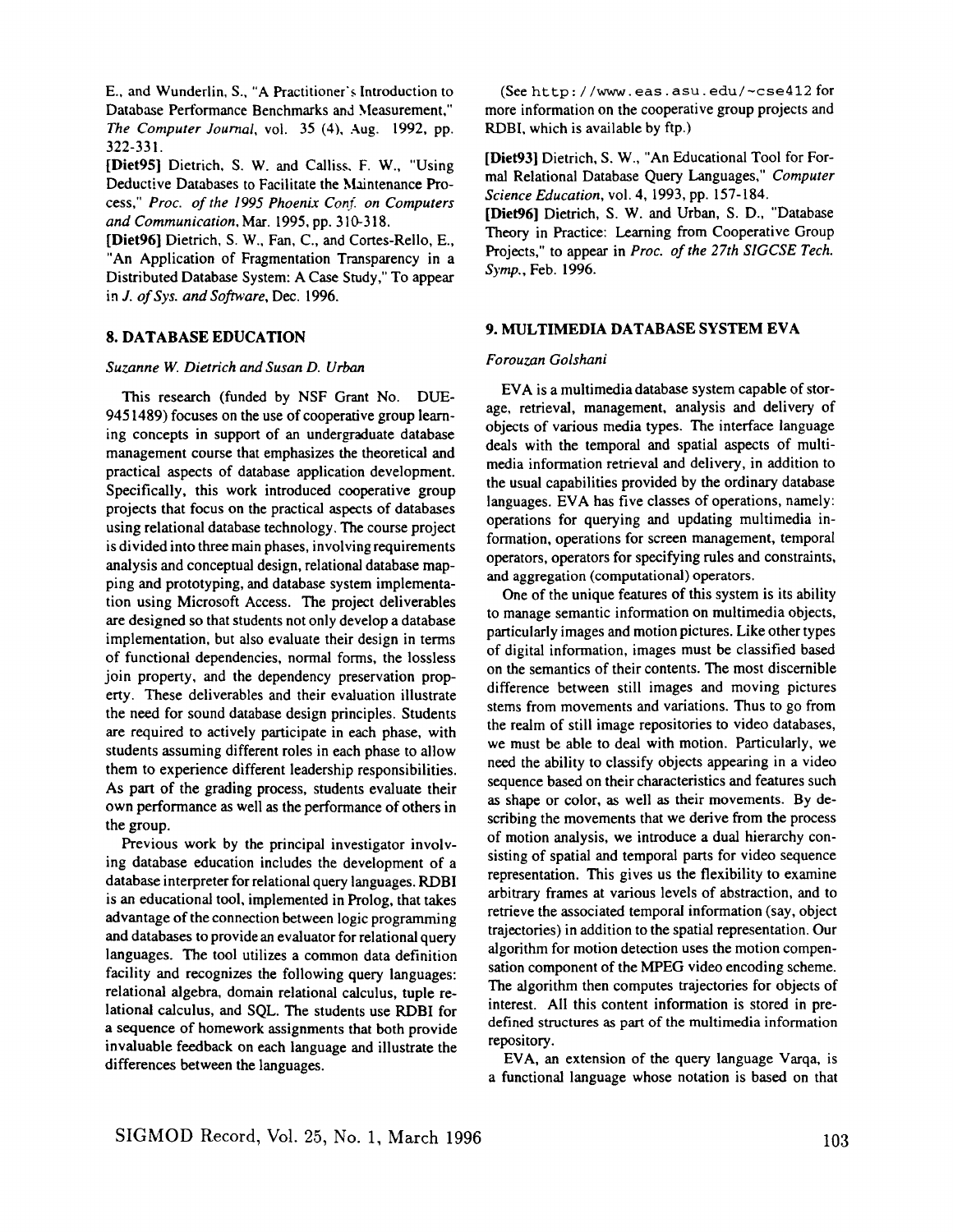E., and Wunderlin, S., "A Practitioner's Introduction to Database Performance Benchmarks and Measurement," *The Computer Journal,* vol. 35 (4), Aug. 1992, pp. 322-331.

[Diet95] Dietrich, S. W. and Calliss. F. W., "Using Deductive Databases to Facilitate the Maintenance Process," *Proc. of the 1995 Phoenix Conf. on Computers and Communication.* Mar. 1995, pp. 310-318.

[Diet96] Dietrich, S. W., Fan, C., and Cortes-Reilo, E., "An Application of Fragmentation Transparency in a Distributed Database System: A Case Study," To appear in *J. of Sys. and Software,* Dec. 1996.

#### **8. DATABASE EDUCATION**

#### *Suzanne W. Dietrich and Susan D. Urban*

This research (funded by NSF Grant No. DUE-9451489) focuses on the use of cooperative group learning concepts in support of an undergraduate database management course that emphasizes the theoretical and practical aspects of database application development. Specifically, this work introduced cooperative group projects that focus on the practical aspects of databases using relational database technology. The course project is divided into three main phases, involving requirements analysis and conceptual design, relational database mapping and prototyping, and database system implementation using Microsoft Access. The project deliverables are designed so that students not only develop a database implementation, but also evaluate their design in terms of functional dependencies, normal forms, the lossless join property, and the dependency preservation property. These deliverables and their evaluation illustrate the need for sound database design principles. Students are required to actively participate in each phase, with students assuming different roles in each phase to allow them to experience different leadership responsibilities. As part of the grading process, students evaluate their own performance as well as the performance of others in the group.

Previous work by the principal investigator involving database education includes the development of a database interpreter for relational query languages. RDBI is an educational tool, implemented in Prolog, that takes advantage of the connection between logic programming and databases to provide an evaluator for relational query languages. The tool utilizes a common data definition facility and recognizes the following query languages: relational algebra, domain relational calculus, tuple relational calculus, and SQL. The students use RDBI for a sequence of homework assignments that both provide invaluable feedback on each language and illustrate the differences between the languages.

(See http://www.eas.asu.edu/~cse412 for more information on the cooperative group projects and RDBI, which is available by ftp.)

[Diet93] Dietrich, S. W., "An Educational Tool for Formal Relational Database Query Languages," *Computer Science Education,* vol. 4, 1993, pp. 157-184.

[Diet96] Dietrich, S. W. and Urban, S. D., "Database Theory in Practice: Learning from Cooperative Group Projects," to appear in *Proc. of the 27th SIGCSE Tech.*  Symp., Feb. 1996.

#### 9. **MULTIMEDIA DATABASE SYSTEM EVA**

#### *Forouzan Golshani*

EVA is a multimedia database system capable of storage, retrieval, management, analysis and delivery of objects of various media types. The interface language deals with the temporal and spatial aspects of multimedia information retrieval and delivery, in addition to the usual capabilities provided by the ordinary database languages. EVA has five classes of operations, namely: operations for querying and updating multimedia information, operations for screen management, temporal operators, operators for specifying rules and constraints, and aggregation (computational) operators.

One of the unique features of this system is its ability to manage semantic information on multimedia objects, particularly images and motion pictures. Like other types of digital information, images must be classified based on the semantics of their contents. The most discernible difference between still images and moving pictures stems from movements and variations. Thus to go from the realm of still image repositories to video databases, we must be able to deal with motion. Particularly, we need the ability to classify objects appearing in a video sequence based on their characteristics and features such as shape or color, as well as their movements. By describing the movements that we derive from the process of motion analysis, we introduce a dual hierarchy consisting of spatial and temporal parts for video sequence representation. This gives us the flexibility to examine arbitrary frames at various levels of abstraction, and to retrieve the associated temporal information (say, object trajectories) in addition to the spatial representation. Our algorithm for motion detection uses the motion compensation component of the MPEG video encoding scheme. The algorithm then computes trajectories for objects of interest. All this content information is stored in predefined structures as part of the multimedia information repository.

EVA, an extension of the query language Varqa, is a functional language whose notation is based on that